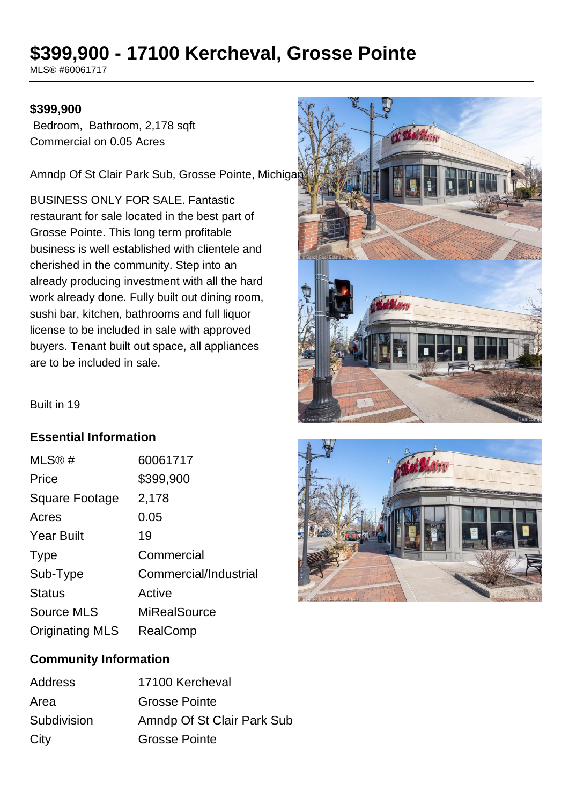# **\$399,900 - 17100 Kercheval, Grosse Pointe**

MLS® #60061717

### **\$399,900**

 Bedroom, Bathroom, 2,178 sqft Commercial on 0.05 Acres

Amndp Of St Clair Park Sub, Grosse Pointe, Michigan

BUSINESS ONLY FOR SALE. Fantastic restaurant for sale located in the best part of Grosse Pointe. This long term profitable business is well established with clientele and cherished in the community. Step into an already producing investment with all the hard work already done. Fully built out dining room, sushi bar, kitchen, bathrooms and full liquor license to be included in sale with approved buyers. Tenant built out space, all appliances are to be included in sale.



Built in 19

# **Essential Information**

| MLS®#                  | 60061717              |
|------------------------|-----------------------|
| Price                  | \$399,900             |
| Square Footage         | 2,178                 |
| Acres                  | 0.05                  |
| <b>Year Built</b>      | 19                    |
| <b>Type</b>            | Commercial            |
| Sub-Type               | Commercial/Industrial |
| <b>Status</b>          | Active                |
| <b>Source MLS</b>      | <b>MiRealSource</b>   |
| <b>Originating MLS</b> | RealComp              |



## **Community Information**

| Address     | 17100 Kercheval            |
|-------------|----------------------------|
| Area        | <b>Grosse Pointe</b>       |
| Subdivision | Amndp Of St Clair Park Sub |
| City        | <b>Grosse Pointe</b>       |